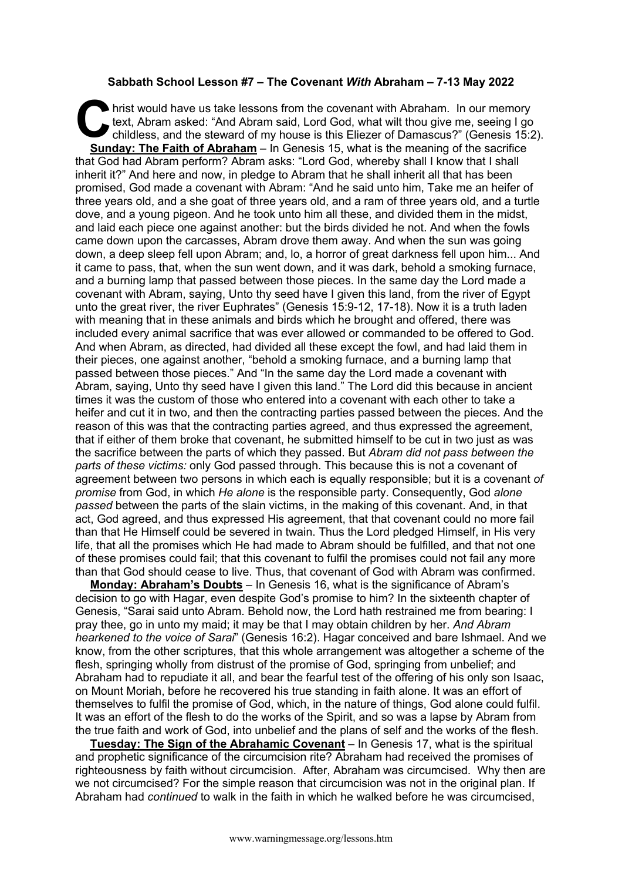## **Sabbath School Lesson #7 – The Covenant** *With* **Abraham – 7-13 May 2022**

hrist would have us take lessons from the covenant with Abraham. In our memory text, Abram asked: "And Abram said, Lord God, what wilt thou give me, seeing I go childless, and the steward of my house is this Eliezer of Damascus?" (Genesis 15:2). **Sunday: The Faith of Abraham** – In Genesis 15, what is the meaning of the sacrifice that God had Abram perform? Abram asks: "Lord God, whereby shall I know that I shall inherit it?" And here and now, in pledge to Abram that he shall inherit all that has been promised, God made a covenant with Abram: "And he said unto him, Take me an heifer of three years old, and a she goat of three years old, and a ram of three years old, and a turtle dove, and a young pigeon. And he took unto him all these, and divided them in the midst, and laid each piece one against another: but the birds divided he not. And when the fowls came down upon the carcasses, Abram drove them away. And when the sun was going down, a deep sleep fell upon Abram; and, lo, a horror of great darkness fell upon him... And it came to pass, that, when the sun went down, and it was dark, behold a smoking furnace, and a burning lamp that passed between those pieces. In the same day the Lord made a covenant with Abram, saying, Unto thy seed have I given this land, from the river of Egypt unto the great river, the river Euphrates" (Genesis 15:9-12, 17-18). Now it is a truth laden with meaning that in these animals and birds which he brought and offered, there was included every animal sacrifice that was ever allowed or commanded to be offered to God. And when Abram, as directed, had divided all these except the fowl, and had laid them in their pieces, one against another, "behold a smoking furnace, and a burning lamp that passed between those pieces." And "In the same day the Lord made a covenant with Abram, saying, Unto thy seed have I given this land." The Lord did this because in ancient times it was the custom of those who entered into a covenant with each other to take a heifer and cut it in two, and then the contracting parties passed between the pieces. And the reason of this was that the contracting parties agreed, and thus expressed the agreement, that if either of them broke that covenant, he submitted himself to be cut in two just as was the sacrifice between the parts of which they passed. But *Abram did not pass between the parts of these victims:* only God passed through. This because this is not a covenant of agreement between two persons in which each is equally responsible; but it is a covenant *of promise* from God, in which *He alone* is the responsible party. Consequently, God *alone passed* between the parts of the slain victims, in the making of this covenant. And, in that act, God agreed, and thus expressed His agreement, that that covenant could no more fail than that He Himself could be severed in twain. Thus the Lord pledged Himself, in His very life, that all the promises which He had made to Abram should be fulfilled, and that not one of these promises could fail; that this covenant to fulfil the promises could not fail any more than that God should cease to live. Thus, that covenant of God with Abram was confirmed. C tex<br>C tex<br>Gunda

**Monday: Abraham's Doubts** – In Genesis 16, what is the significance of Abram's decision to go with Hagar, even despite God's promise to him? In the sixteenth chapter of Genesis, "Sarai said unto Abram. Behold now, the Lord hath restrained me from bearing: I pray thee, go in unto my maid; it may be that I may obtain children by her. *And Abram hearkened to the voice of Sarai*" (Genesis 16:2). Hagar conceived and bare Ishmael. And we know, from the other scriptures, that this whole arrangement was altogether a scheme of the flesh, springing wholly from distrust of the promise of God, springing from unbelief; and Abraham had to repudiate it all, and bear the fearful test of the offering of his only son Isaac, on Mount Moriah, before he recovered his true standing in faith alone. It was an effort of themselves to fulfil the promise of God, which, in the nature of things, God alone could fulfil. It was an effort of the flesh to do the works of the Spirit, and so was a lapse by Abram from the true faith and work of God, into unbelief and the plans of self and the works of the flesh.

**Tuesday: The Sign of the Abrahamic Covenant** – In Genesis 17, what is the spiritual and prophetic significance of the circumcision rite? Abraham had received the promises of righteousness by faith without circumcision. After, Abraham was circumcised. Why then are we not circumcised? For the simple reason that circumcision was not in the original plan. If Abraham had *continued* to walk in the faith in which he walked before he was circumcised,